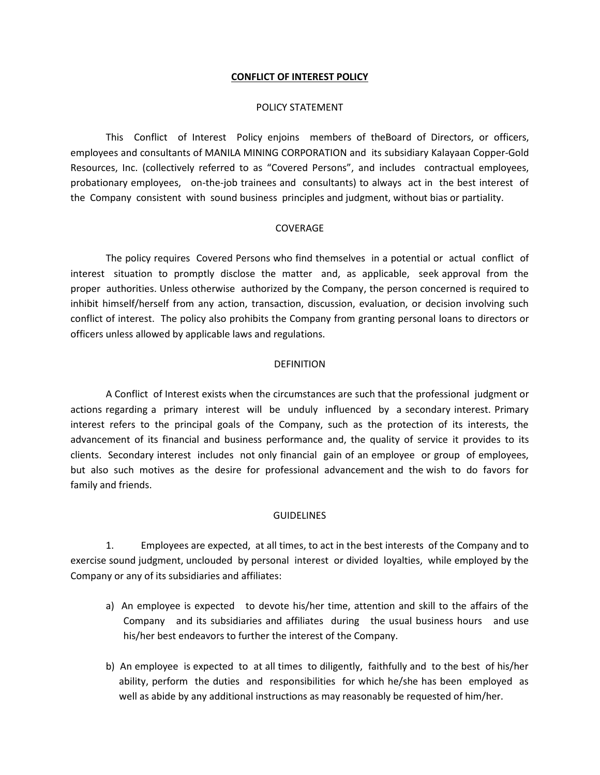## **CONFLICT OF INTEREST POLICY**

## POLICY STATEMENT

This Conflict of Interest Policy enjoins members of theBoard of Directors, or officers, employees and consultants of MANILA MINING CORPORATION and its subsidiary Kalayaan Copper-Gold Resources, Inc. (collectively referred to as "Covered Persons", and includes contractual employees, probationary employees, on-the-job trainees and consultants) to always act in the best interest of the Company consistent with sound business principles and judgment, without bias or partiality.

## COVERAGE

The policy requires Covered Persons who find themselves in a potential or actual conflict of interest situation to promptly disclose the matter and, as applicable, seek approval from the proper authorities. Unless otherwise authorized by the Company, the person concerned is required to inhibit himself/herself from any action, transaction, discussion, evaluation, or decision involving such conflict of interest. The policy also prohibits the Company from granting personal loans to directors or officers unless allowed by applicable laws and regulations.

#### DEFINITION

A Conflict of Interest exists when the circumstances are such that the professional judgment or actions regarding a primary interest will be unduly influenced by a secondary interest. Primary interest refers to the principal goals of the Company, such as the protection of its interests, the advancement of its financial and business performance and, the quality of service it provides to its clients. Secondary interest includes not only financial gain of an employee or group of employees, but also such motives as the desire for professional advancement and the wish to do favors for family and friends.

#### **GUIDELINES**

1. Employees are expected, at all times, to act in the best interests of the Company and to exercise sound judgment, unclouded by personal interest or divided loyalties, while employed by the Company or any of its subsidiaries and affiliates:

- a) An employee is expected to devote his/her time, attention and skill to the affairs of the Company and its subsidiaries and affiliates during the usual business hours and use his/her best endeavors to further the interest of the Company.
- b) An employee is expected to at all times to diligently, faithfully and to the best of his/her ability, perform the duties and responsibilities for which he/she has been employed as well as abide by any additional instructions as may reasonably be requested of him/her.